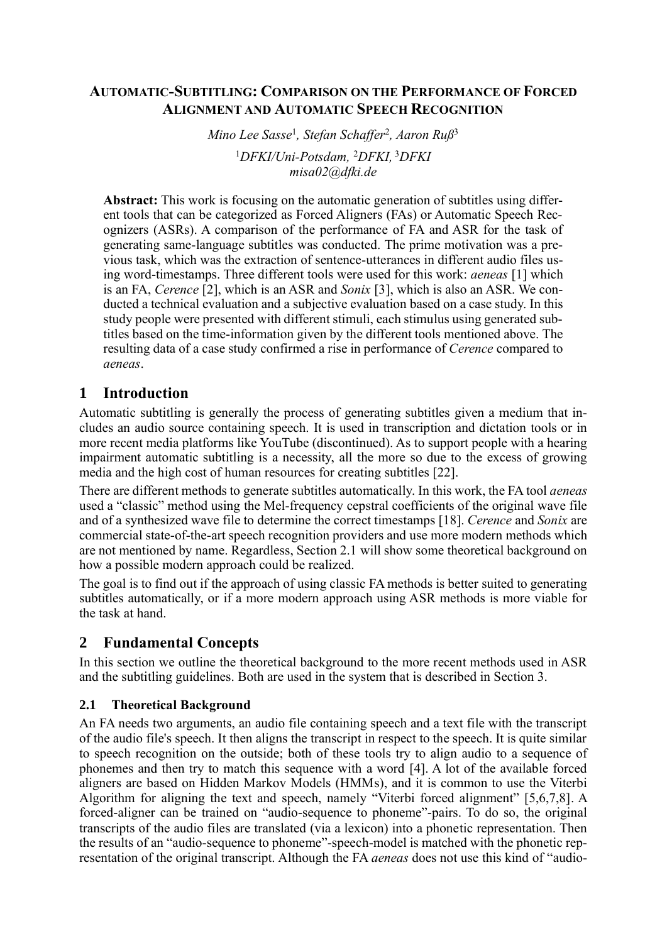## **AUTOMATIC-SUBTITLING: COMPARISON ON THE PERFORMANCE OF FORCED ALIGNMENT AND AUTOMATIC SPEECH RECOGNITION**

*Mino Lee Sasse*<sup>1</sup> *, Stefan Schaffer*<sup>2</sup> *, Aaron Ruß*<sup>3</sup> <sup>1</sup>*DFKI/Uni-Potsdam,* <sup>2</sup>*DFKI,* <sup>3</sup>*DFKI misa02@dfki.de*

**Abstract:** This work is focusing on the automatic generation of subtitles using different tools that can be categorized as Forced Aligners (FAs) or Automatic Speech Recognizers (ASRs). A comparison of the performance of FA and ASR for the task of generating same-language subtitles was conducted. The prime motivation was a previous task, which was the extraction of sentence-utterances in different audio files using word-timestamps. Three different tools were used for this work: *aeneas* [1] which is an FA, *Cerence* [2], which is an ASR and *Sonix* [3], which is also an ASR. We conducted a technical evaluation and a subjective evaluation based on a case study. In this study people were presented with different stimuli, each stimulus using generated subtitles based on the time-information given by the different tools mentioned above. The resulting data of a case study confirmed a rise in performance of *Cerence* compared to *aeneas*.

# **1 Introduction**

Automatic subtitling is generally the process of generating subtitles given a medium that includes an audio source containing speech. It is used in transcription and dictation tools or in more recent media platforms like YouTube (discontinued). As to support people with a hearing impairment automatic subtitling is a necessity, all the more so due to the excess of growing media and the high cost of human resources for creating subtitles [22].

There are different methods to generate subtitles automatically. In this work, the FA tool *aeneas*  used a "classic" method using the Mel-frequency cepstral coefficients of the original wave file and of a synthesized wave file to determine the correct timestamps [18]. *Cerence* and *Sonix* are commercial state-of-the-art speech recognition providers and use more modern methods which are not mentioned by name. Regardless, Section 2.1 will show some theoretical background on how a possible modern approach could be realized.

The goal is to find out if the approach of using classic FA methods is better suited to generating subtitles automatically, or if a more modern approach using ASR methods is more viable for the task at hand.

# **2 Fundamental Concepts**

In this section we outline the theoretical background to the more recent methods used in ASR and the subtitling guidelines. Both are used in the system that is described in Section 3.

## **2.1 Theoretical Background**

An FA needs two arguments, an audio file containing speech and a text file with the transcript of the audio file's speech. It then aligns the transcript in respect to the speech. It is quite similar to speech recognition on the outside; both of these tools try to align audio to a sequence of phonemes and then try to match this sequence with a word [4]. A lot of the available forced aligners are based on Hidden Markov Models (HMMs), and it is common to use the Viterbi Algorithm for aligning the text and speech, namely "Viterbi forced alignment" [5,6,7,8]. A forced-aligner can be trained on "audio-sequence to phoneme"-pairs. To do so, the original transcripts of the audio files are translated (via a lexicon) into a phonetic representation. Then the results of an "audio-sequence to phoneme"-speech-model is matched with the phonetic representation of the original transcript. Although the FA *aeneas* does not use this kind of "audio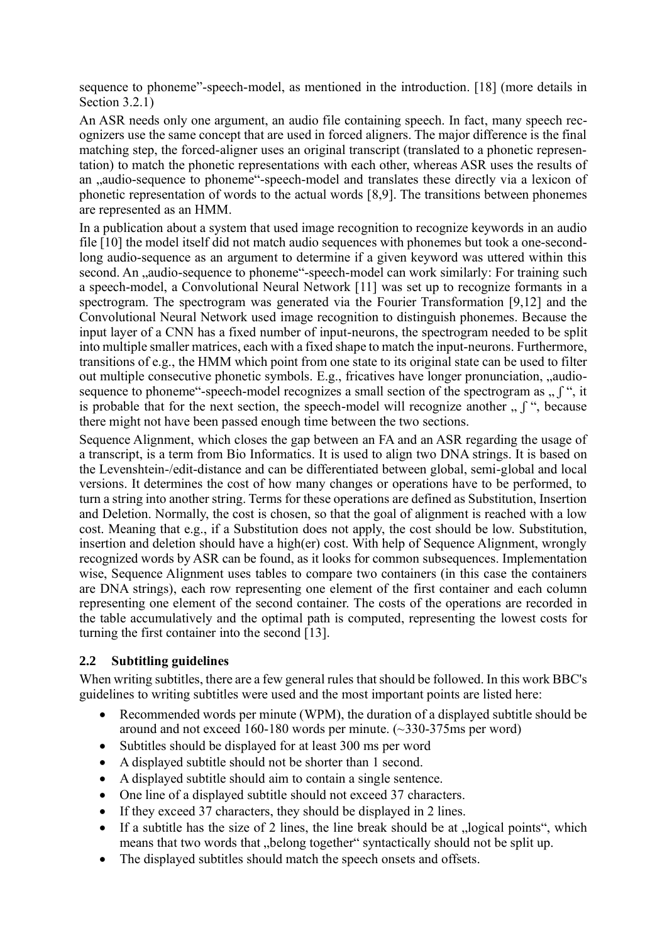sequence to phoneme"-speech-model, as mentioned in the introduction. [18] (more details in Section 3.2.1)

An ASR needs only one argument, an audio file containing speech. In fact, many speech recognizers use the same concept that are used in forced aligners. The major difference is the final matching step, the forced-aligner uses an original transcript (translated to a phonetic representation) to match the phonetic representations with each other, whereas ASR uses the results of an ,,audio-sequence to phoneme"-speech-model and translates these directly via a lexicon of phonetic representation of words to the actual words [8,9]. The transitions between phonemes are represented as an HMM.

In a publication about a system that used image recognition to recognize keywords in an audio file [10] the model itself did not match audio sequences with phonemes but took a one-secondlong audio-sequence as an argument to determine if a given keyword was uttered within this second. An "audio-sequence to phoneme"-speech-model can work similarly: For training such a speech-model, a Convolutional Neural Network [11] was set up to recognize formants in a spectrogram. The spectrogram was generated via the Fourier Transformation [9,12] and the Convolutional Neural Network used image recognition to distinguish phonemes. Because the input layer of a CNN has a fixed number of input-neurons, the spectrogram needed to be split into multiple smaller matrices, each with a fixed shape to match the input-neurons. Furthermore, transitions of e.g., the HMM which point from one state to its original state can be used to filter out multiple consecutive phonetic symbols. E.g., fricatives have longer pronunciation, "audiosequence to phoneme"-speech-model recognizes a small section of the spectrogram as  $\cdot$ ,  $\cdot$ , it is probable that for the next section, the speech-model will recognize another  $\eta$ ,  $\eta$ , because there might not have been passed enough time between the two sections.

Sequence Alignment, which closes the gap between an FA and an ASR regarding the usage of a transcript, is a term from Bio Informatics. It is used to align two DNA strings. It is based on the Levenshtein-/edit-distance and can be differentiated between global, semi-global and local versions. It determines the cost of how many changes or operations have to be performed, to turn a string into another string. Terms for these operations are defined as Substitution, Insertion and Deletion. Normally, the cost is chosen, so that the goal of alignment is reached with a low cost. Meaning that e.g., if a Substitution does not apply, the cost should be low. Substitution, insertion and deletion should have a high(er) cost. With help of Sequence Alignment, wrongly recognized words by ASR can be found, as it looks for common subsequences. Implementation wise, Sequence Alignment uses tables to compare two containers (in this case the containers are DNA strings), each row representing one element of the first container and each column representing one element of the second container. The costs of the operations are recorded in the table accumulatively and the optimal path is computed, representing the lowest costs for turning the first container into the second [13].

#### **2.2 Subtitling guidelines**

When writing subtitles, there are a few general rules that should be followed. In this work BBC's guidelines to writing subtitles were used and the most important points are listed here:

- Recommended words per minute (WPM), the duration of a displayed subtitle should be around and not exceed 160-180 words per minute.  $(\sim 330 - 375 \text{ ms per word})$
- Subtitles should be displayed for at least 300 ms per word
- A displayed subtitle should not be shorter than 1 second.
- A displayed subtitle should aim to contain a single sentence.
- One line of a displayed subtitle should not exceed 37 characters.
- If they exceed 37 characters, they should be displayed in 2 lines.
- If a subtitle has the size of 2 lines, the line break should be at  $\alpha$ , logical points", which means that two words that "belong together" syntactically should not be split up.
- The displayed subtitles should match the speech onsets and offsets.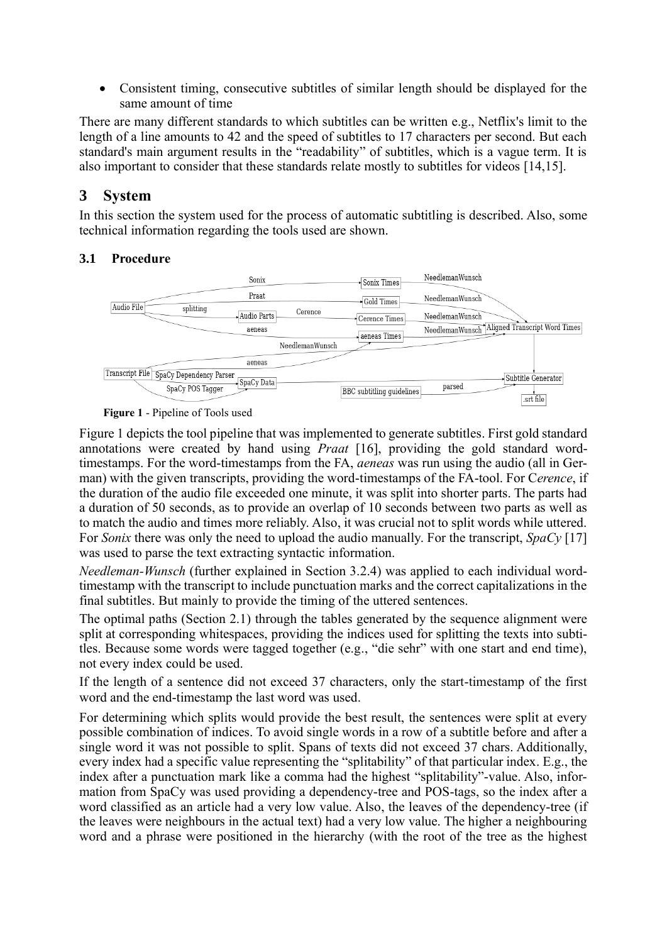• Consistent timing, consecutive subtitles of similar length should be displayed for the same amount of time

There are many different standards to which subtitles can be written e.g., Netflix's limit to the length of a line amounts to 42 and the speed of subtitles to 17 characters per second. But each standard's main argument results in the "readability" of subtitles, which is a vague term. It is also important to consider that these standards relate mostly to subtitles for videos [14,15].

# **3 System**

In this section the system used for the process of automatic subtitling is described. Also, some technical information regarding the tools used are shown.

#### **3.1 Procedure**



**Figure 1** - Pipeline of Tools used

Figure 1 depicts the tool pipeline that was implemented to generate subtitles. First gold standard annotations were created by hand using *Praat* [16], providing the gold standard wordtimestamps. For the word-timestamps from the FA, *aeneas* was run using the audio (all in German) with the given transcripts, providing the word-timestamps of the FA-tool. For C*erence*, if the duration of the audio file exceeded one minute, it was split into shorter parts. The parts had a duration of 50 seconds, as to provide an overlap of 10 seconds between two parts as well as to match the audio and times more reliably. Also, it was crucial not to split words while uttered. For *Sonix* there was only the need to upload the audio manually. For the transcript, *SpaCy* [17] was used to parse the text extracting syntactic information.

*Needleman-Wunsch* (further explained in Section 3.2.4) was applied to each individual wordtimestamp with the transcript to include punctuation marks and the correct capitalizations in the final subtitles. But mainly to provide the timing of the uttered sentences.

The optimal paths (Section 2.1) through the tables generated by the sequence alignment were split at corresponding whitespaces, providing the indices used for splitting the texts into subtitles. Because some words were tagged together (e.g., "die sehr" with one start and end time), not every index could be used.

If the length of a sentence did not exceed 37 characters, only the start-timestamp of the first word and the end-timestamp the last word was used.

For determining which splits would provide the best result, the sentences were split at every possible combination of indices. To avoid single words in a row of a subtitle before and after a single word it was not possible to split. Spans of texts did not exceed 37 chars. Additionally, every index had a specific value representing the "splitability" of that particular index. E.g., the index after a punctuation mark like a comma had the highest "splitability"-value. Also, information from SpaCy was used providing a dependency-tree and POS-tags, so the index after a word classified as an article had a very low value. Also, the leaves of the dependency-tree (if the leaves were neighbours in the actual text) had a very low value. The higher a neighbouring word and a phrase were positioned in the hierarchy (with the root of the tree as the highest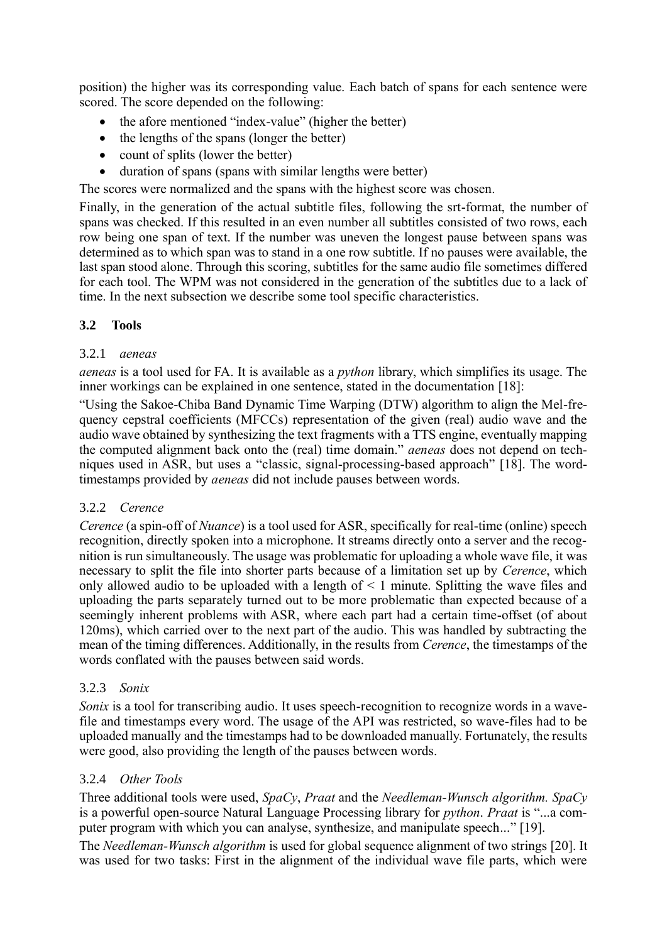position) the higher was its corresponding value. Each batch of spans for each sentence were scored. The score depended on the following:

- the afore mentioned "index-value" (higher the better)
- the lengths of the spans (longer the better)
- count of splits (lower the better)
- duration of spans (spans with similar lengths were better)

The scores were normalized and the spans with the highest score was chosen.

Finally, in the generation of the actual subtitle files, following the srt-format, the number of spans was checked. If this resulted in an even number all subtitles consisted of two rows, each row being one span of text. If the number was uneven the longest pause between spans was determined as to which span was to stand in a one row subtitle. If no pauses were available, the last span stood alone. Through this scoring, subtitles for the same audio file sometimes differed for each tool. The WPM was not considered in the generation of the subtitles due to a lack of time. In the next subsection we describe some tool specific characteristics.

#### **3.2 Tools**

#### 3.2.1 *aeneas*

*aeneas* is a tool used for FA. It is available as a *python* library, which simplifies its usage. The inner workings can be explained in one sentence, stated in the documentation [18]:

"Using the Sakoe-Chiba Band Dynamic Time Warping (DTW) algorithm to align the Mel-frequency cepstral coefficients (MFCCs) representation of the given (real) audio wave and the audio wave obtained by synthesizing the text fragments with a TTS engine, eventually mapping the computed alignment back onto the (real) time domain." *aeneas* does not depend on techniques used in ASR, but uses a "classic, signal-processing-based approach" [18]. The wordtimestamps provided by *aeneas* did not include pauses between words.

#### 3.2.2 *Cerence*

*Cerence* (a spin-off of *Nuance*) is a tool used for ASR, specifically for real-time (online) speech recognition, directly spoken into a microphone. It streams directly onto a server and the recognition is run simultaneously. The usage was problematic for uploading a whole wave file, it was necessary to split the file into shorter parts because of a limitation set up by *Cerence*, which only allowed audio to be uploaded with a length of  $\leq 1$  minute. Splitting the wave files and uploading the parts separately turned out to be more problematic than expected because of a seemingly inherent problems with ASR, where each part had a certain time-offset (of about 120ms), which carried over to the next part of the audio. This was handled by subtracting the mean of the timing differences. Additionally, in the results from *Cerence*, the timestamps of the words conflated with the pauses between said words.

#### 3.2.3 *Sonix*

*Sonix* is a tool for transcribing audio. It uses speech-recognition to recognize words in a wavefile and timestamps every word. The usage of the API was restricted, so wave-files had to be uploaded manually and the timestamps had to be downloaded manually. Fortunately, the results were good, also providing the length of the pauses between words.

#### 3.2.4 *Other Tools*

Three additional tools were used, *SpaCy*, *Praat* and the *Needleman-Wunsch algorithm. SpaCy* is a powerful open-source Natural Language Processing library for *python*. *Praat* is "...a computer program with which you can analyse, synthesize, and manipulate speech..." [19].

The *Needleman-Wunsch algorithm* is used for global sequence alignment of two strings [20]. It was used for two tasks: First in the alignment of the individual wave file parts, which were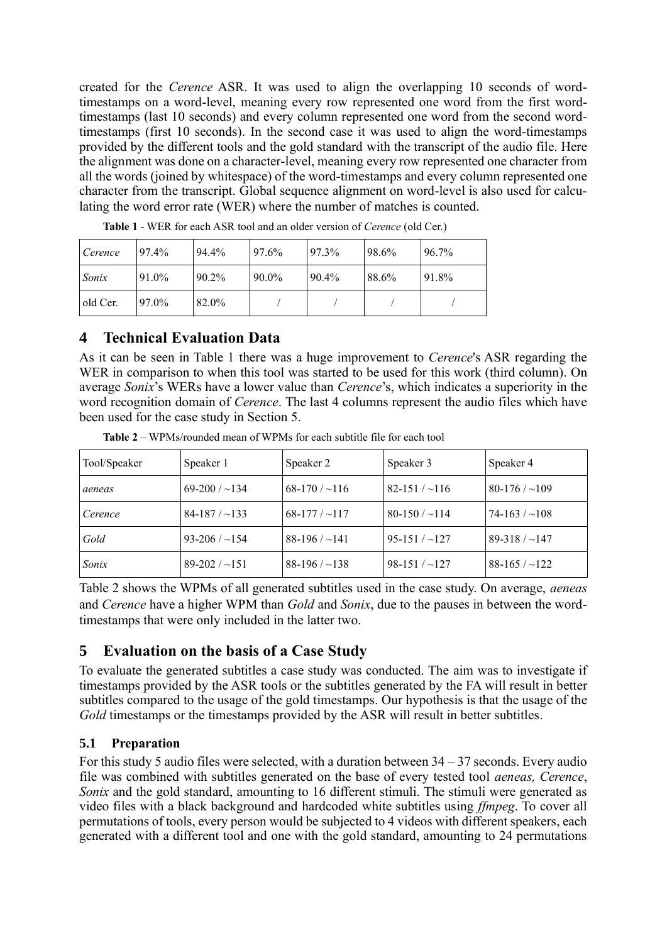created for the *Cerence* ASR. It was used to align the overlapping 10 seconds of wordtimestamps on a word-level, meaning every row represented one word from the first wordtimestamps (last 10 seconds) and every column represented one word from the second wordtimestamps (first 10 seconds). In the second case it was used to align the word-timestamps provided by the different tools and the gold standard with the transcript of the audio file. Here the alignment was done on a character-level, meaning every row represented one character from all the words (joined by whitespace) of the word-timestamps and every column represented one character from the transcript. Global sequence alignment on word-level is also used for calculating the word error rate (WER) where the number of matches is counted.

| Cerence  | 97.4% | 94.4% | 97.6% | 97.3% | 98.6% | 96.7% |
|----------|-------|-------|-------|-------|-------|-------|
| Sonix    | 91.0% | 90.2% | 90.0% | 90.4% | 88.6% | 91.8% |
| old Cer. | 97.0% | 82.0% |       |       |       |       |

**Table 1** - WER for each ASR tool and an older version of *Cerence* (old Cer.)

#### **4 Technical Evaluation Data**

As it can be seen in Table 1 there was a huge improvement to *Cerence*'s ASR regarding the WER in comparison to when this tool was started to be used for this work (third column). On average *Sonix*'s WERs have a lower value than *Cerence*'s, which indicates a superiority in the word recognition domain of *Cerence*. The last 4 columns represent the audio files which have been used for the case study in Section 5.

| Tool/Speaker | Speaker 1             | Speaker 2             | Speaker 3           | Speaker 4           |
|--------------|-----------------------|-----------------------|---------------------|---------------------|
| aeneas       | $69-200$ / $\sim$ 134 | $68-170 / \sim 116$   | $82-151 / \sim 116$ | $80-176 / -109$     |
| Cerence      | $84-187/~133$         | $68-177/117$          | $80-150 / -114$     | $74-163 / \sim 108$ |
| Gold         | $93-206 / -154$       | $88-196$ / $\sim$ 141 | $95-151 / -127$     | $89-318 / -147$     |
| Sonix        | $89-202 / -151$       | $88-196$ / $\sim$ 138 | $98-151 / -127$     | $88-165 / -122$     |

**Table 2** – WPMs/rounded mean of WPMs for each subtitle file for each tool

Table 2 shows the WPMs of all generated subtitles used in the case study. On average, *aeneas*  and *Cerence* have a higher WPM than *Gold* and *Sonix*, due to the pauses in between the wordtimestamps that were only included in the latter two.

# **5 Evaluation on the basis of a Case Study**

To evaluate the generated subtitles a case study was conducted. The aim was to investigate if timestamps provided by the ASR tools or the subtitles generated by the FA will result in better subtitles compared to the usage of the gold timestamps. Our hypothesis is that the usage of the *Gold* timestamps or the timestamps provided by the ASR will result in better subtitles.

## **5.1 Preparation**

For this study 5 audio files were selected, with a duration between 34 – 37 seconds. Every audio file was combined with subtitles generated on the base of every tested tool *aeneas, Cerence*, *Sonix* and the gold standard, amounting to 16 different stimuli. The stimuli were generated as video files with a black background and hardcoded white subtitles using *ffmpeg*. To cover all permutations of tools, every person would be subjected to 4 videos with different speakers, each generated with a different tool and one with the gold standard, amounting to 24 permutations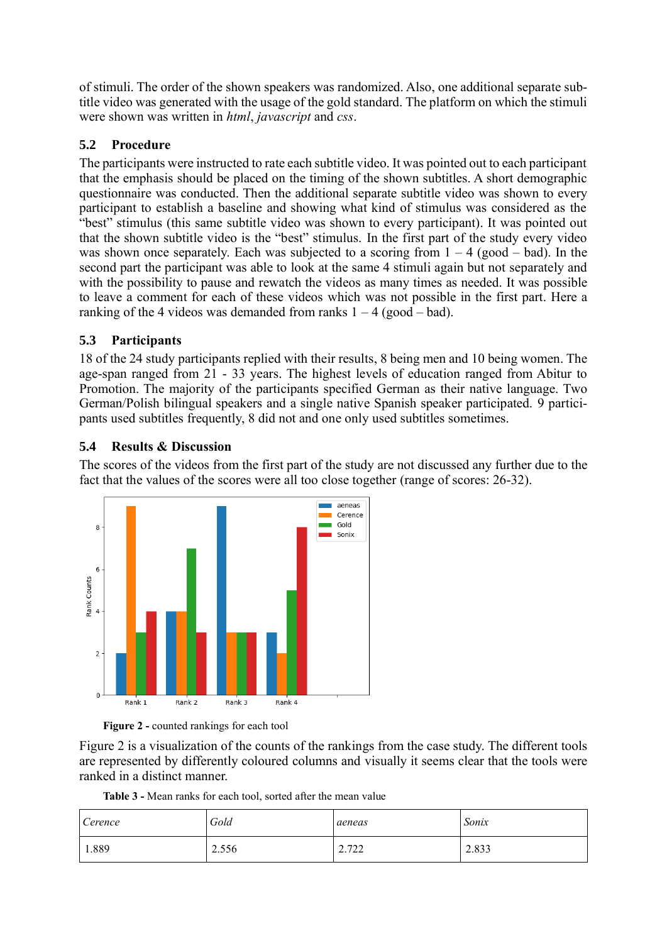of stimuli. The order of the shown speakers was randomized. Also, one additional separate subtitle video was generated with the usage of the gold standard. The platform on which the stimuli were shown was written in *html*, *javascript* and *css*.

## **5.2 Procedure**

The participants were instructed to rate each subtitle video. It was pointed out to each participant that the emphasis should be placed on the timing of the shown subtitles. A short demographic questionnaire was conducted. Then the additional separate subtitle video was shown to every participant to establish a baseline and showing what kind of stimulus was considered as the "best" stimulus (this same subtitle video was shown to every participant). It was pointed out that the shown subtitle video is the "best" stimulus. In the first part of the study every video was shown once separately. Each was subjected to a scoring from  $1 - 4$  (good – bad). In the second part the participant was able to look at the same 4 stimuli again but not separately and with the possibility to pause and rewatch the videos as many times as needed. It was possible to leave a comment for each of these videos which was not possible in the first part. Here a ranking of the 4 videos was demanded from ranks  $1 - 4$  (good – bad).

## **5.3 Participants**

18 of the 24 study participants replied with their results, 8 being men and 10 being women. The age-span ranged from 21 - 33 years. The highest levels of education ranged from Abitur to Promotion. The majority of the participants specified German as their native language. Two German/Polish bilingual speakers and a single native Spanish speaker participated. 9 participants used subtitles frequently, 8 did not and one only used subtitles sometimes.

## **5.4 Results & Discussion**

The scores of the videos from the first part of the study are not discussed any further due to the fact that the values of the scores were all too close together (range of scores: 26-32).



**Figure 2 -** counted rankings for each tool

Figure 2 is a visualization of the counts of the rankings from the case study. The different tools are represented by differently coloured columns and visually it seems clear that the tools were ranked in a distinct manner.

**Table 3 -** Mean ranks for each tool, sorted after the mean value

| Cerence | Gold  | aeneas                                    | Sonix |
|---------|-------|-------------------------------------------|-------|
| 1.889   | 2.556 | ר רד<br>$\overline{a}$ . I $\overline{a}$ | 2.833 |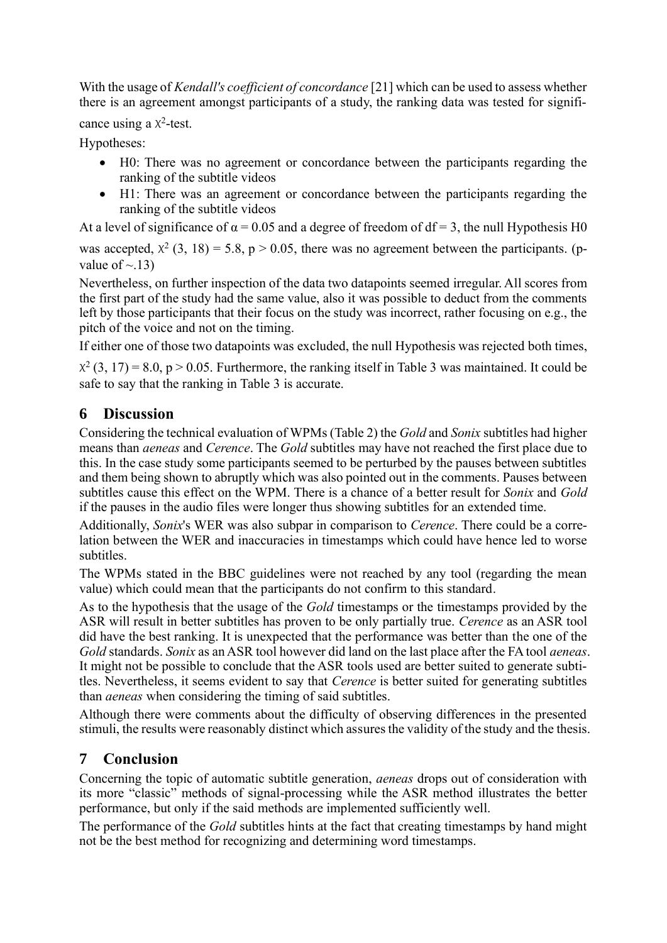With the usage of *Kendall's coefficient of concordance* [21] which can be used to assess whether there is an agreement amongst participants of a study, the ranking data was tested for signifi-

cance using a  $x^2$ -test.

Hypotheses:

- H0: There was no agreement or concordance between the participants regarding the ranking of the subtitle videos
- H1: There was an agreement or concordance between the participants regarding the ranking of the subtitle videos

At a level of significance of  $\alpha = 0.05$  and a degree of freedom of df = 3, the null Hypothesis H0

was accepted,  $\chi^2$  (3, 18) = 5.8, p > 0.05, there was no agreement between the participants. (pvalue of  $\sim$  13)

Nevertheless, on further inspection of the data two datapoints seemed irregular. All scores from the first part of the study had the same value, also it was possible to deduct from the comments left by those participants that their focus on the study was incorrect, rather focusing on e.g., the pitch of the voice and not on the timing.

If either one of those two datapoints was excluded, the null Hypothesis was rejected both times,

 $X^2$  (3, 17) = 8.0, p > 0.05. Furthermore, the ranking itself in Table 3 was maintained. It could be safe to say that the ranking in Table 3 is accurate.

# **6 Discussion**

Considering the technical evaluation of WPMs (Table 2) the *Gold* and *Sonix* subtitles had higher means than *aeneas* and *Cerence*. The *Gold* subtitles may have not reached the first place due to this. In the case study some participants seemed to be perturbed by the pauses between subtitles and them being shown to abruptly which was also pointed out in the comments. Pauses between subtitles cause this effect on the WPM. There is a chance of a better result for *Sonix* and *Gold* if the pauses in the audio files were longer thus showing subtitles for an extended time.

Additionally, *Sonix*'s WER was also subpar in comparison to *Cerence*. There could be a correlation between the WER and inaccuracies in timestamps which could have hence led to worse subtitles.

The WPMs stated in the BBC guidelines were not reached by any tool (regarding the mean value) which could mean that the participants do not confirm to this standard.

As to the hypothesis that the usage of the *Gold* timestamps or the timestamps provided by the ASR will result in better subtitles has proven to be only partially true. *Cerence* as an ASR tool did have the best ranking. It is unexpected that the performance was better than the one of the *Gold* standards. *Sonix* as an ASR tool however did land on the last place after the FA tool *aeneas*. It might not be possible to conclude that the ASR tools used are better suited to generate subtitles. Nevertheless, it seems evident to say that *Cerence* is better suited for generating subtitles than *aeneas* when considering the timing of said subtitles.

Although there were comments about the difficulty of observing differences in the presented stimuli, the results were reasonably distinct which assures the validity of the study and the thesis.

# **7 Conclusion**

Concerning the topic of automatic subtitle generation, *aeneas* drops out of consideration with its more "classic" methods of signal-processing while the ASR method illustrates the better performance, but only if the said methods are implemented sufficiently well.

The performance of the *Gold* subtitles hints at the fact that creating timestamps by hand might not be the best method for recognizing and determining word timestamps.